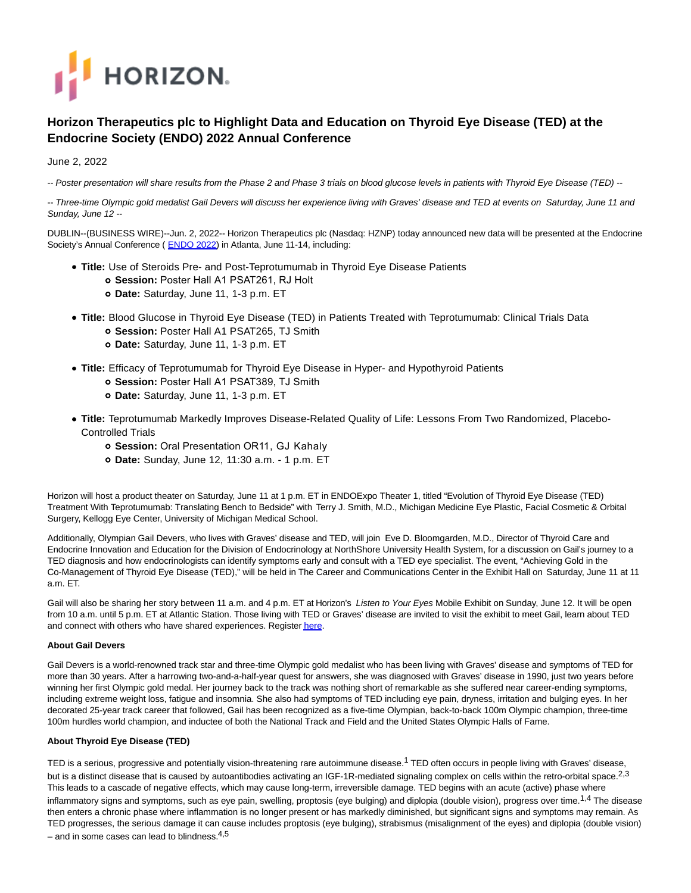

# **Horizon Therapeutics plc to Highlight Data and Education on Thyroid Eye Disease (TED) at the Endocrine Society (ENDO) 2022 Annual Conference**

### June 2, 2022

-- Poster presentation will share results from the Phase 2 and Phase 3 trials on blood glucose levels in patients with Thyroid Eye Disease (TED) --

-- Three-time Olympic gold medalist Gail Devers will discuss her experience living with Graves' disease and TED at events on Saturday, June 11 and Sunday, June 12 --

DUBLIN--(BUSINESS WIRE)--Jun. 2, 2022-- Horizon Therapeutics plc (Nasdaq: HZNP) today announced new data will be presented at the Endocrine Society's Annual Conference ([ENDO 2022\)](https://cts.businesswire.com/ct/CT?id=smartlink&url=https%3A%2F%2Fendo2022.endocrine.org%2F&esheet=52737273&newsitemid=20220601006252&lan=en-US&anchor=ENDO+2022&index=1&md5=8b1c23145a218b7800b06ce665f352b2) in Atlanta, June 11-14, including:

- **Title:** Use of Steroids Pre- and Post-Teprotumumab in Thyroid Eye Disease Patients
	- **Session:** Poster Hall A1 PSAT261, RJ Holt
	- **Date:** Saturday, June 11, 1-3 p.m. ET
- **Title:** Blood Glucose in Thyroid Eye Disease (TED) in Patients Treated with Teprotumumab: Clinical Trials Data **Session:** Poster Hall A1 PSAT265, TJ Smith
	- **Date:** Saturday, June 11, 1-3 p.m. ET
- **Title:** Efficacy of Teprotumumab for Thyroid Eye Disease in Hyper- and Hypothyroid Patients
	- **Session:** Poster Hall A1 PSAT389, TJ Smith
	- **Date:** Saturday, June 11, 1-3 p.m. ET
- **Title:** Teprotumumab Markedly Improves Disease-Related Quality of Life: Lessons From Two Randomized, Placebo-Controlled Trials
	- **Session:** Oral Presentation OR11, GJ Kahaly
	- **Date:** Sunday, June 12, 11:30 a.m. 1 p.m. ET

Horizon will host a product theater on Saturday, June 11 at 1 p.m. ET in ENDOExpo Theater 1, titled "Evolution of Thyroid Eye Disease (TED) Treatment With Teprotumumab: Translating Bench to Bedside" with Terry J. Smith, M.D., Michigan Medicine Eye Plastic, Facial Cosmetic & Orbital Surgery, Kellogg Eye Center, University of Michigan Medical School.

Additionally, Olympian Gail Devers, who lives with Graves' disease and TED, will join Eve D. Bloomgarden, M.D., Director of Thyroid Care and Endocrine Innovation and Education for the Division of Endocrinology at NorthShore University Health System, for a discussion on Gail's journey to a TED diagnosis and how endocrinologists can identify symptoms early and consult with a TED eye specialist. The event, "Achieving Gold in the Co-Management of Thyroid Eye Disease (TED)," will be held in The Career and Communications Center in the Exhibit Hall on Saturday, June 11 at 11 a.m. ET.

Gail will also be sharing her story between 11 a.m. and 4 p.m. ET at Horizon's Listen to Your Eyes Mobile Exhibit on Sunday, June 12. It will be open from 10 a.m. until 5 p.m. ET at Atlantic Station. Those living with TED or Graves' disease are invited to visit the exhibit to meet Gail, learn about TED and connect with others who have shared experiences. Registe[r here.](https://cts.businesswire.com/ct/CT?id=smartlink&url=https%3A%2F%2Fwww.eventbrite.com%2Fe%2Flisten-to-your-eyes-mobile-exhibit-atlanta-tickets-318956105297&esheet=52737273&newsitemid=20220601006252&lan=en-US&anchor=here&index=2&md5=989cfc1c6da80971e8c1cfb5d8fa57fc)

#### **About Gail Devers**

Gail Devers is a world-renowned track star and three-time Olympic gold medalist who has been living with Graves' disease and symptoms of TED for more than 30 years. After a harrowing two-and-a-half-year quest for answers, she was diagnosed with Graves' disease in 1990, just two years before winning her first Olympic gold medal. Her journey back to the track was nothing short of remarkable as she suffered near career-ending symptoms, including extreme weight loss, fatigue and insomnia. She also had symptoms of TED including eye pain, dryness, irritation and bulging eyes. In her decorated 25-year track career that followed, Gail has been recognized as a five-time Olympian, back-to-back 100m Olympic champion, three-time 100m hurdles world champion, and inductee of both the National Track and Field and the United States Olympic Halls of Fame.

#### **About Thyroid Eye Disease (TED)**

TED is a serious, progressive and potentially vision-threatening rare autoimmune disease.<sup>1</sup> TED often occurs in people living with Graves' disease, but is a distinct disease that is caused by autoantibodies activating an IGF-1R-mediated signaling complex on cells within the retro-orbital space.<sup>2,3</sup> This leads to a cascade of negative effects, which may cause long-term, irreversible damage. TED begins with an acute (active) phase where inflammatory signs and symptoms, such as eye pain, swelling, proptosis (eye bulging) and diplopia (double vision), progress over time.<sup>1,4</sup> The disease then enters a chronic phase where inflammation is no longer present or has markedly diminished, but significant signs and symptoms may remain. As TED progresses, the serious damage it can cause includes proptosis (eye bulging), strabismus (misalignment of the eyes) and diplopia (double vision) – and in some cases can lead to blindness. $4,5$